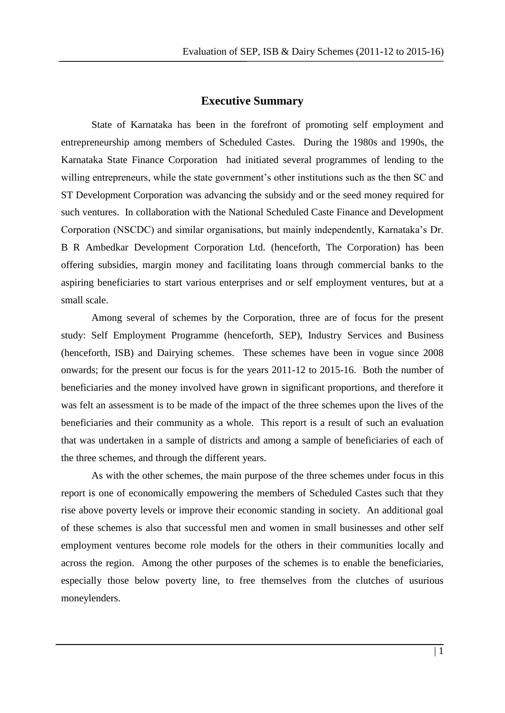# **Executive Summary**

State of Karnataka has been in the forefront of promoting self employment and entrepreneurship among members of Scheduled Castes. During the 1980s and 1990s, the Karnataka State Finance Corporation had initiated several programmes of lending to the willing entrepreneurs, while the state government's other institutions such as the then SC and ST Development Corporation was advancing the subsidy and or the seed money required for such ventures. In collaboration with the National Scheduled Caste Finance and Development Corporation (NSCDC) and similar organisations, but mainly independently, Karnataka"s Dr. B R Ambedkar Development Corporation Ltd. (henceforth, The Corporation) has been offering subsidies, margin money and facilitating loans through commercial banks to the aspiring beneficiaries to start various enterprises and or self employment ventures, but at a small scale.

Among several of schemes by the Corporation, three are of focus for the present study: Self Employment Programme (henceforth, SEP), Industry Services and Business (henceforth, ISB) and Dairying schemes. These schemes have been in vogue since 2008 onwards; for the present our focus is for the years 2011-12 to 2015-16. Both the number of beneficiaries and the money involved have grown in significant proportions, and therefore it was felt an assessment is to be made of the impact of the three schemes upon the lives of the beneficiaries and their community as a whole. This report is a result of such an evaluation that was undertaken in a sample of districts and among a sample of beneficiaries of each of the three schemes, and through the different years.

As with the other schemes, the main purpose of the three schemes under focus in this report is one of economically empowering the members of Scheduled Castes such that they rise above poverty levels or improve their economic standing in society. An additional goal of these schemes is also that successful men and women in small businesses and other self employment ventures become role models for the others in their communities locally and across the region. Among the other purposes of the schemes is to enable the beneficiaries, especially those below poverty line, to free themselves from the clutches of usurious moneylenders.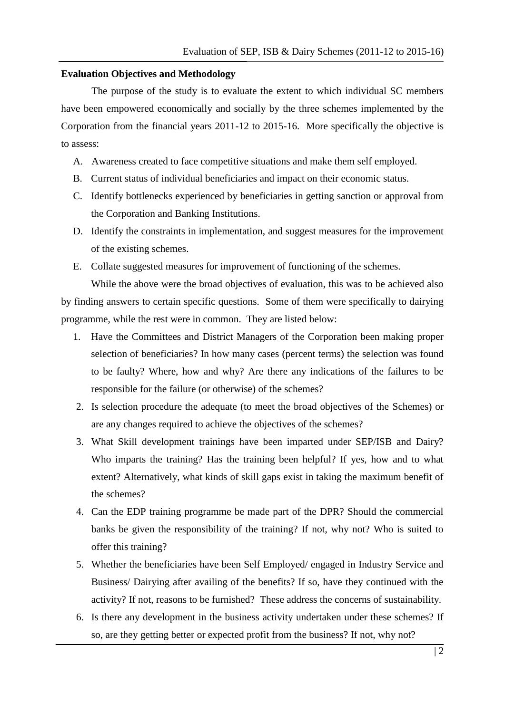### **Evaluation Objectives and Methodology**

The purpose of the study is to evaluate the extent to which individual SC members have been empowered economically and socially by the three schemes implemented by the Corporation from the financial years 2011-12 to 2015-16. More specifically the objective is to assess:

- A. Awareness created to face competitive situations and make them self employed.
- B. Current status of individual beneficiaries and impact on their economic status.
- C. Identify bottlenecks experienced by beneficiaries in getting sanction or approval from the Corporation and Banking Institutions.
- D. Identify the constraints in implementation, and suggest measures for the improvement of the existing schemes.
- E. Collate suggested measures for improvement of functioning of the schemes.

While the above were the broad objectives of evaluation, this was to be achieved also by finding answers to certain specific questions. Some of them were specifically to dairying programme, while the rest were in common. They are listed below:

- 1. Have the Committees and District Managers of the Corporation been making proper selection of beneficiaries? In how many cases (percent terms) the selection was found to be faulty? Where, how and why? Are there any indications of the failures to be responsible for the failure (or otherwise) of the schemes?
- 2. Is selection procedure the adequate (to meet the broad objectives of the Schemes) or are any changes required to achieve the objectives of the schemes?
- 3. What Skill development trainings have been imparted under SEP/ISB and Dairy? Who imparts the training? Has the training been helpful? If yes, how and to what extent? Alternatively, what kinds of skill gaps exist in taking the maximum benefit of the schemes?
- 4. Can the EDP training programme be made part of the DPR? Should the commercial banks be given the responsibility of the training? If not, why not? Who is suited to offer this training?
- 5. Whether the beneficiaries have been Self Employed/ engaged in Industry Service and Business/ Dairying after availing of the benefits? If so, have they continued with the activity? If not, reasons to be furnished? These address the concerns of sustainability.
- 6. Is there any development in the business activity undertaken under these schemes? If so, are they getting better or expected profit from the business? If not, why not?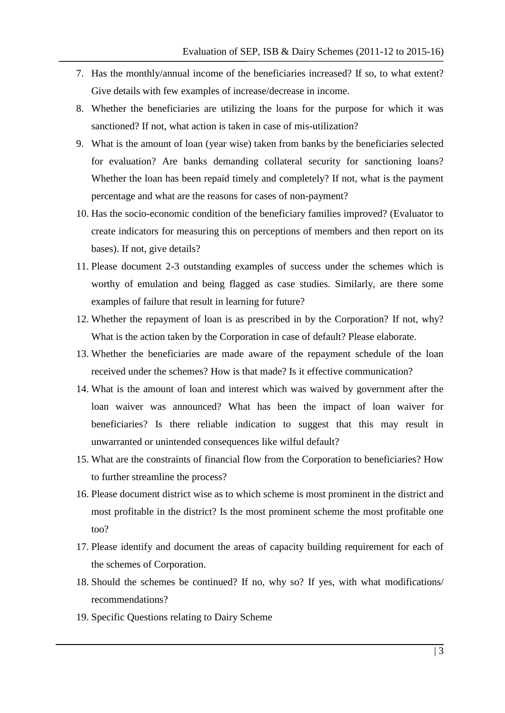- 7. Has the monthly/annual income of the beneficiaries increased? If so, to what extent? Give details with few examples of increase/decrease in income.
- 8. Whether the beneficiaries are utilizing the loans for the purpose for which it was sanctioned? If not, what action is taken in case of mis-utilization?
- 9. What is the amount of loan (year wise) taken from banks by the beneficiaries selected for evaluation? Are banks demanding collateral security for sanctioning loans? Whether the loan has been repaid timely and completely? If not, what is the payment percentage and what are the reasons for cases of non-payment?
- 10. Has the socio-economic condition of the beneficiary families improved? (Evaluator to create indicators for measuring this on perceptions of members and then report on its bases). If not, give details?
- 11. Please document 2-3 outstanding examples of success under the schemes which is worthy of emulation and being flagged as case studies. Similarly, are there some examples of failure that result in learning for future?
- 12. Whether the repayment of loan is as prescribed in by the Corporation? If not, why? What is the action taken by the Corporation in case of default? Please elaborate.
- 13. Whether the beneficiaries are made aware of the repayment schedule of the loan received under the schemes? How is that made? Is it effective communication?
- 14. What is the amount of loan and interest which was waived by government after the loan waiver was announced? What has been the impact of loan waiver for beneficiaries? Is there reliable indication to suggest that this may result in unwarranted or unintended consequences like wilful default?
- 15. What are the constraints of financial flow from the Corporation to beneficiaries? How to further streamline the process?
- 16. Please document district wise as to which scheme is most prominent in the district and most profitable in the district? Is the most prominent scheme the most profitable one too?
- 17. Please identify and document the areas of capacity building requirement for each of the schemes of Corporation.
- 18. Should the schemes be continued? If no, why so? If yes, with what modifications/ recommendations?
- 19. Specific Questions relating to Dairy Scheme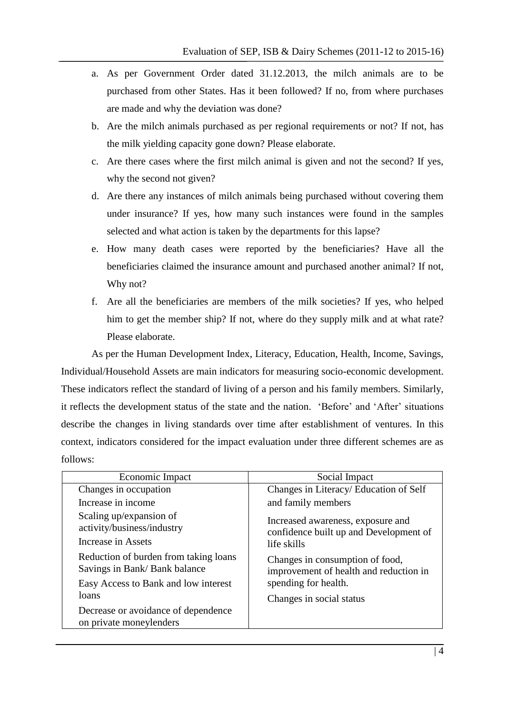- a. As per Government Order dated 31.12.2013, the milch animals are to be purchased from other States. Has it been followed? If no, from where purchases are made and why the deviation was done?
- b. Are the milch animals purchased as per regional requirements or not? If not, has the milk yielding capacity gone down? Please elaborate.
- c. Are there cases where the first milch animal is given and not the second? If yes, why the second not given?
- d. Are there any instances of milch animals being purchased without covering them under insurance? If yes, how many such instances were found in the samples selected and what action is taken by the departments for this lapse?
- e. How many death cases were reported by the beneficiaries? Have all the beneficiaries claimed the insurance amount and purchased another animal? If not, Why not?
- f. Are all the beneficiaries are members of the milk societies? If yes, who helped him to get the member ship? If not, where do they supply milk and at what rate? Please elaborate.

As per the Human Development Index, Literacy, Education, Health, Income, Savings, Individual/Household Assets are main indicators for measuring socio-economic development. These indicators reflect the standard of living of a person and his family members. Similarly, it reflects the development status of the state and the nation. "Before" and "After" situations describe the changes in living standards over time after establishment of ventures. In this context, indicators considered for the impact evaluation under three different schemes are as follows:

| Economic Impact                                                        | Social Impact                                                                                     |  |
|------------------------------------------------------------------------|---------------------------------------------------------------------------------------------------|--|
| Changes in occupation                                                  | Changes in Literacy/ Education of Self                                                            |  |
| Increase in income                                                     | and family members                                                                                |  |
| Scaling up/expansion of<br>activity/business/industry                  | Increased awareness, exposure and<br>confidence built up and Development of<br>life skills        |  |
| Increase in Assets                                                     |                                                                                                   |  |
| Reduction of burden from taking loans<br>Savings in Bank/ Bank balance | Changes in consumption of food,<br>improvement of health and reduction in<br>spending for health. |  |
| Easy Access to Bank and low interest                                   |                                                                                                   |  |
| loans                                                                  | Changes in social status                                                                          |  |
| Decrease or avoidance of dependence<br>on private moneylenders         |                                                                                                   |  |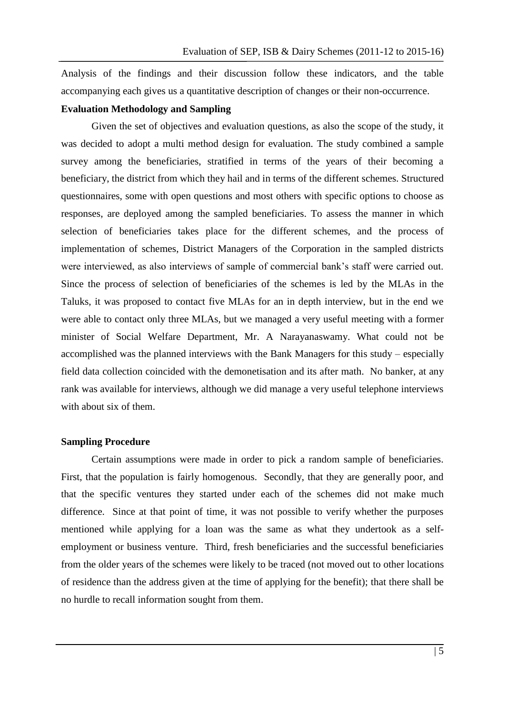Analysis of the findings and their discussion follow these indicators, and the table accompanying each gives us a quantitative description of changes or their non-occurrence.

### **Evaluation Methodology and Sampling**

Given the set of objectives and evaluation questions, as also the scope of the study, it was decided to adopt a multi method design for evaluation. The study combined a sample survey among the beneficiaries, stratified in terms of the years of their becoming a beneficiary, the district from which they hail and in terms of the different schemes. Structured questionnaires, some with open questions and most others with specific options to choose as responses, are deployed among the sampled beneficiaries. To assess the manner in which selection of beneficiaries takes place for the different schemes, and the process of implementation of schemes, District Managers of the Corporation in the sampled districts were interviewed, as also interviews of sample of commercial bank"s staff were carried out. Since the process of selection of beneficiaries of the schemes is led by the MLAs in the Taluks, it was proposed to contact five MLAs for an in depth interview, but in the end we were able to contact only three MLAs, but we managed a very useful meeting with a former minister of Social Welfare Department, Mr. A Narayanaswamy. What could not be accomplished was the planned interviews with the Bank Managers for this study – especially field data collection coincided with the demonetisation and its after math. No banker, at any rank was available for interviews, although we did manage a very useful telephone interviews with about six of them.

#### **Sampling Procedure**

Certain assumptions were made in order to pick a random sample of beneficiaries. First, that the population is fairly homogenous. Secondly, that they are generally poor, and that the specific ventures they started under each of the schemes did not make much difference. Since at that point of time, it was not possible to verify whether the purposes mentioned while applying for a loan was the same as what they undertook as a selfemployment or business venture. Third, fresh beneficiaries and the successful beneficiaries from the older years of the schemes were likely to be traced (not moved out to other locations of residence than the address given at the time of applying for the benefit); that there shall be no hurdle to recall information sought from them.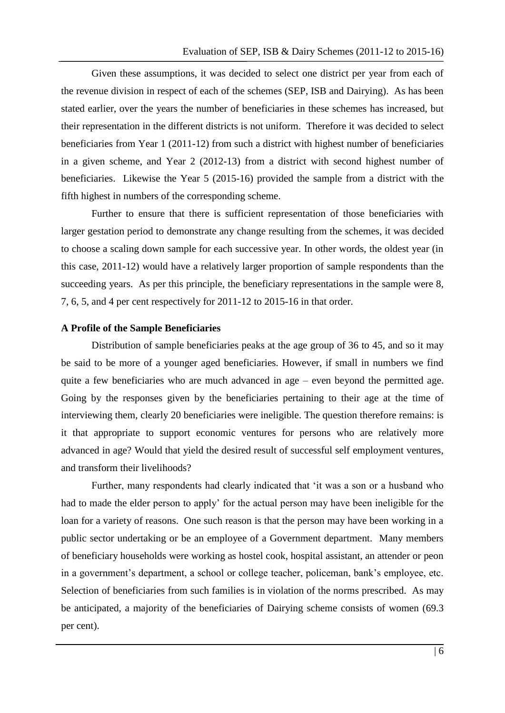Given these assumptions, it was decided to select one district per year from each of the revenue division in respect of each of the schemes (SEP, ISB and Dairying). As has been stated earlier, over the years the number of beneficiaries in these schemes has increased, but their representation in the different districts is not uniform. Therefore it was decided to select beneficiaries from Year 1 (2011-12) from such a district with highest number of beneficiaries in a given scheme, and Year 2 (2012-13) from a district with second highest number of beneficiaries. Likewise the Year 5 (2015-16) provided the sample from a district with the fifth highest in numbers of the corresponding scheme.

Further to ensure that there is sufficient representation of those beneficiaries with larger gestation period to demonstrate any change resulting from the schemes, it was decided to choose a scaling down sample for each successive year. In other words, the oldest year (in this case, 2011-12) would have a relatively larger proportion of sample respondents than the succeeding years. As per this principle, the beneficiary representations in the sample were 8, 7, 6, 5, and 4 per cent respectively for 2011-12 to 2015-16 in that order.

### **A Profile of the Sample Beneficiaries**

Distribution of sample beneficiaries peaks at the age group of 36 to 45, and so it may be said to be more of a younger aged beneficiaries. However, if small in numbers we find quite a few beneficiaries who are much advanced in age – even beyond the permitted age. Going by the responses given by the beneficiaries pertaining to their age at the time of interviewing them, clearly 20 beneficiaries were ineligible. The question therefore remains: is it that appropriate to support economic ventures for persons who are relatively more advanced in age? Would that yield the desired result of successful self employment ventures, and transform their livelihoods?

Further, many respondents had clearly indicated that "it was a son or a husband who had to made the elder person to apply" for the actual person may have been ineligible for the loan for a variety of reasons. One such reason is that the person may have been working in a public sector undertaking or be an employee of a Government department. Many members of beneficiary households were working as hostel cook, hospital assistant, an attender or peon in a government's department, a school or college teacher, policeman, bank's employee, etc. Selection of beneficiaries from such families is in violation of the norms prescribed. As may be anticipated, a majority of the beneficiaries of Dairying scheme consists of women (69.3 per cent).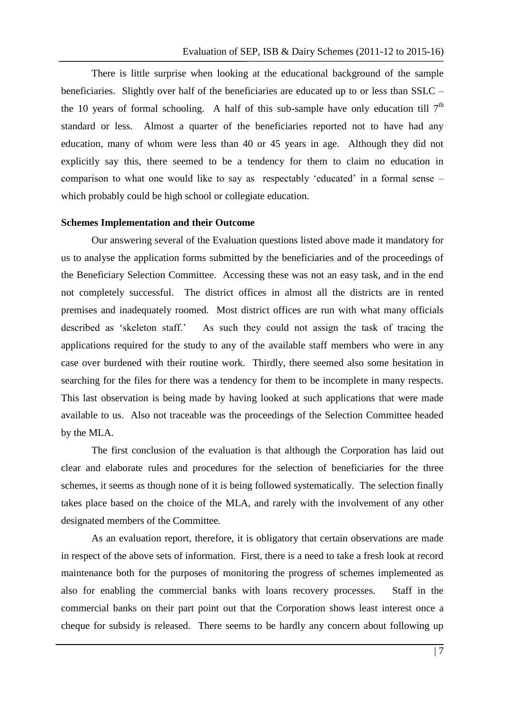There is little surprise when looking at the educational background of the sample beneficiaries. Slightly over half of the beneficiaries are educated up to or less than SSLC – the 10 years of formal schooling. A half of this sub-sample have only education till  $7<sup>th</sup>$ standard or less. Almost a quarter of the beneficiaries reported not to have had any education, many of whom were less than 40 or 45 years in age. Although they did not explicitly say this, there seemed to be a tendency for them to claim no education in comparison to what one would like to say as respectably "educated" in a formal sense – which probably could be high school or collegiate education.

#### **Schemes Implementation and their Outcome**

Our answering several of the Evaluation questions listed above made it mandatory for us to analyse the application forms submitted by the beneficiaries and of the proceedings of the Beneficiary Selection Committee. Accessing these was not an easy task, and in the end not completely successful. The district offices in almost all the districts are in rented premises and inadequately roomed. Most district offices are run with what many officials described as "skeleton staff." As such they could not assign the task of tracing the applications required for the study to any of the available staff members who were in any case over burdened with their routine work. Thirdly, there seemed also some hesitation in searching for the files for there was a tendency for them to be incomplete in many respects. This last observation is being made by having looked at such applications that were made available to us. Also not traceable was the proceedings of the Selection Committee headed by the MLA.

The first conclusion of the evaluation is that although the Corporation has laid out clear and elaborate rules and procedures for the selection of beneficiaries for the three schemes, it seems as though none of it is being followed systematically. The selection finally takes place based on the choice of the MLA, and rarely with the involvement of any other designated members of the Committee*.*

As an evaluation report, therefore, it is obligatory that certain observations are made in respect of the above sets of information. First, there is a need to take a fresh look at record maintenance both for the purposes of monitoring the progress of schemes implemented as also for enabling the commercial banks with loans recovery processes. Staff in the commercial banks on their part point out that the Corporation shows least interest once a cheque for subsidy is released. There seems to be hardly any concern about following up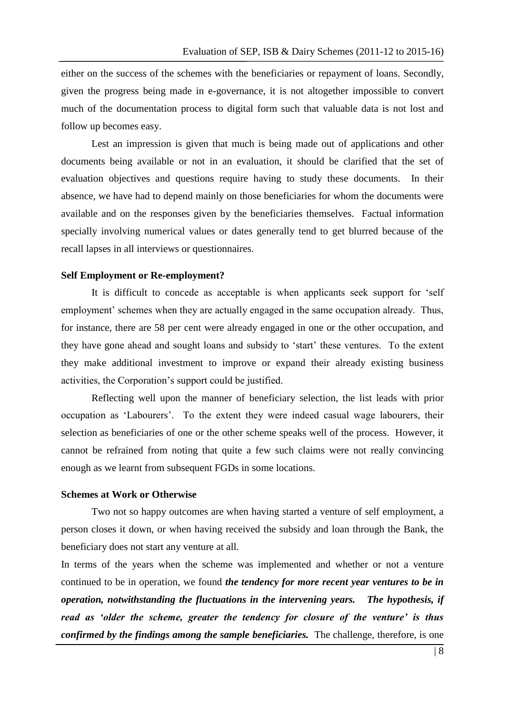either on the success of the schemes with the beneficiaries or repayment of loans. Secondly, given the progress being made in e-governance, it is not altogether impossible to convert much of the documentation process to digital form such that valuable data is not lost and follow up becomes easy.

Lest an impression is given that much is being made out of applications and other documents being available or not in an evaluation, it should be clarified that the set of evaluation objectives and questions require having to study these documents. In their absence, we have had to depend mainly on those beneficiaries for whom the documents were available and on the responses given by the beneficiaries themselves. Factual information specially involving numerical values or dates generally tend to get blurred because of the recall lapses in all interviews or questionnaires.

#### **Self Employment or Re-employment?**

It is difficult to concede as acceptable is when applicants seek support for "self employment' schemes when they are actually engaged in the same occupation already. Thus, for instance, there are 58 per cent were already engaged in one or the other occupation, and they have gone ahead and sought loans and subsidy to "start" these ventures. To the extent they make additional investment to improve or expand their already existing business activities, the Corporation"s support could be justified.

Reflecting well upon the manner of beneficiary selection, the list leads with prior occupation as "Labourers". To the extent they were indeed casual wage labourers, their selection as beneficiaries of one or the other scheme speaks well of the process. However, it cannot be refrained from noting that quite a few such claims were not really convincing enough as we learnt from subsequent FGDs in some locations.

#### **Schemes at Work or Otherwise**

Two not so happy outcomes are when having started a venture of self employment, a person closes it down, or when having received the subsidy and loan through the Bank, the beneficiary does not start any venture at all.

In terms of the years when the scheme was implemented and whether or not a venture continued to be in operation, we found *the tendency for more recent year ventures to be in operation, notwithstanding the fluctuations in the intervening years. The hypothesis, if read as 'older the scheme, greater the tendency for closure of the venture' is thus confirmed by the findings among the sample beneficiaries.* The challenge, therefore, is one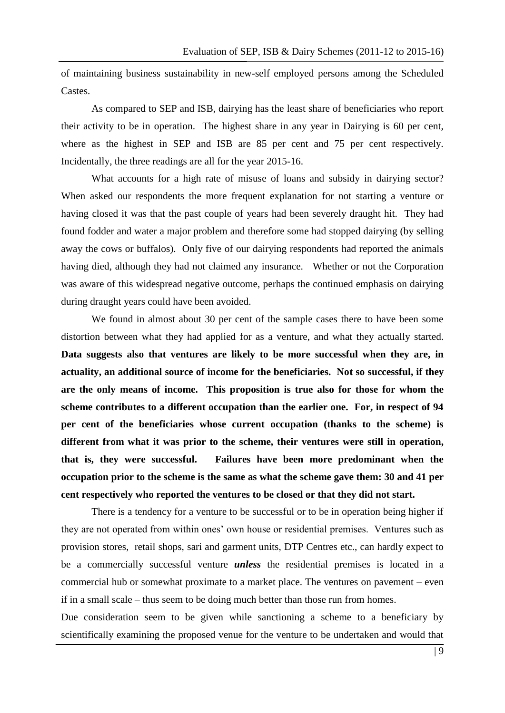of maintaining business sustainability in new-self employed persons among the Scheduled Castes.

As compared to SEP and ISB, dairying has the least share of beneficiaries who report their activity to be in operation. The highest share in any year in Dairying is 60 per cent, where as the highest in SEP and ISB are 85 per cent and 75 per cent respectively. Incidentally, the three readings are all for the year 2015-16.

What accounts for a high rate of misuse of loans and subsidy in dairying sector? When asked our respondents the more frequent explanation for not starting a venture or having closed it was that the past couple of years had been severely draught hit. They had found fodder and water a major problem and therefore some had stopped dairying (by selling away the cows or buffalos). Only five of our dairying respondents had reported the animals having died, although they had not claimed any insurance. Whether or not the Corporation was aware of this widespread negative outcome, perhaps the continued emphasis on dairying during draught years could have been avoided.

We found in almost about 30 per cent of the sample cases there to have been some distortion between what they had applied for as a venture, and what they actually started. **Data suggests also that ventures are likely to be more successful when they are, in actuality, an additional source of income for the beneficiaries. Not so successful, if they are the only means of income. This proposition is true also for those for whom the scheme contributes to a different occupation than the earlier one. For, in respect of 94 per cent of the beneficiaries whose current occupation (thanks to the scheme) is different from what it was prior to the scheme, their ventures were still in operation, that is, they were successful. Failures have been more predominant when the occupation prior to the scheme is the same as what the scheme gave them: 30 and 41 per cent respectively who reported the ventures to be closed or that they did not start.**

There is a tendency for a venture to be successful or to be in operation being higher if they are not operated from within ones" own house or residential premises. Ventures such as provision stores, retail shops, sari and garment units, DTP Centres etc., can hardly expect to be a commercially successful venture *unless* the residential premises is located in a commercial hub or somewhat proximate to a market place. The ventures on pavement – even if in a small scale – thus seem to be doing much better than those run from homes.

Due consideration seem to be given while sanctioning a scheme to a beneficiary by scientifically examining the proposed venue for the venture to be undertaken and would that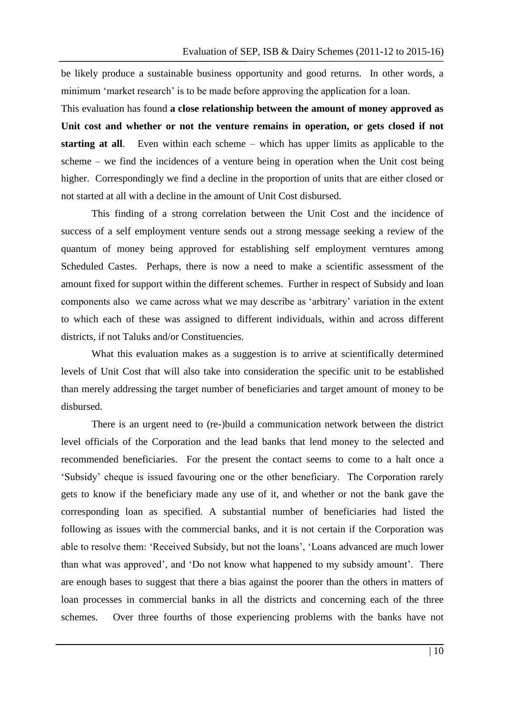be likely produce a sustainable business opportunity and good returns. In other words, a minimum 'market research' is to be made before approving the application for a loan.

This evaluation has found **a close relationship between the amount of money approved as Unit cost and whether or not the venture remains in operation, or gets closed if not starting at all**. Even within each scheme – which has upper limits as applicable to the scheme – we find the incidences of a venture being in operation when the Unit cost being higher. Correspondingly we find a decline in the proportion of units that are either closed or not started at all with a decline in the amount of Unit Cost disbursed.

This finding of a strong correlation between the Unit Cost and the incidence of success of a self employment venture sends out a strong message seeking a review of the quantum of money being approved for establishing self employment verntures among Scheduled Castes. Perhaps, there is now a need to make a scientific assessment of the amount fixed for support within the different schemes. Further in respect of Subsidy and loan components also we came across what we may describe as "arbitrary" variation in the extent to which each of these was assigned to different individuals, within and across different districts, if not Taluks and/or Constituencies.

What this evaluation makes as a suggestion is to arrive at scientifically determined levels of Unit Cost that will also take into consideration the specific unit to be established than merely addressing the target number of beneficiaries and target amount of money to be disbursed.

There is an urgent need to (re-)build a communication network between the district level officials of the Corporation and the lead banks that lend money to the selected and recommended beneficiaries. For the present the contact seems to come to a halt once a "Subsidy" cheque is issued favouring one or the other beneficiary. The Corporation rarely gets to know if the beneficiary made any use of it, and whether or not the bank gave the corresponding loan as specified. A substantial number of beneficiaries had listed the following as issues with the commercial banks, and it is not certain if the Corporation was able to resolve them: "Received Subsidy, but not the loans", "Loans advanced are much lower than what was approved", and "Do not know what happened to my subsidy amount". There are enough bases to suggest that there a bias against the poorer than the others in matters of loan processes in commercial banks in all the districts and concerning each of the three schemes. Over three fourths of those experiencing problems with the banks have not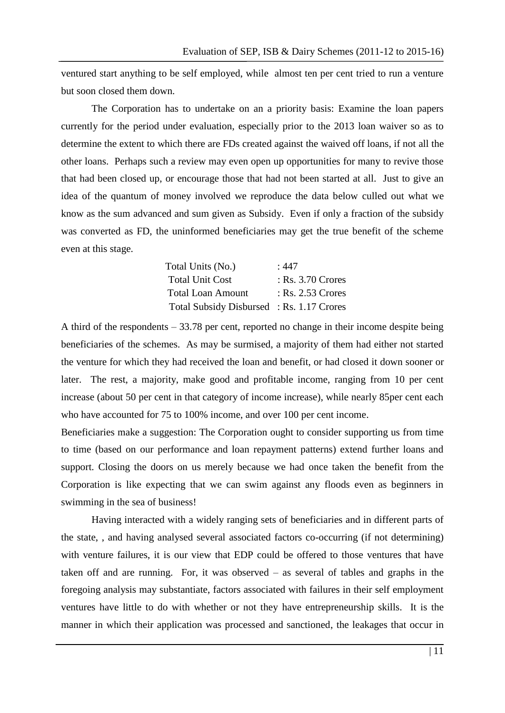ventured start anything to be self employed, while almost ten per cent tried to run a venture but soon closed them down.

The Corporation has to undertake on an a priority basis: Examine the loan papers currently for the period under evaluation, especially prior to the 2013 loan waiver so as to determine the extent to which there are FDs created against the waived off loans, if not all the other loans. Perhaps such a review may even open up opportunities for many to revive those that had been closed up, or encourage those that had not been started at all. Just to give an idea of the quantum of money involved we reproduce the data below culled out what we know as the sum advanced and sum given as Subsidy. Even if only a fraction of the subsidy was converted as FD, the uninformed beneficiaries may get the true benefit of the scheme even at this stage.

| Total Units (No.)                         | : 447               |
|-------------------------------------------|---------------------|
| <b>Total Unit Cost</b>                    | $:$ Rs. 3.70 Crores |
| Total Loan Amount                         | $:$ Rs. 2.53 Crores |
| Total Subsidy Disbursed : Rs. 1.17 Crores |                     |

A third of the respondents – 33.78 per cent, reported no change in their income despite being beneficiaries of the schemes. As may be surmised, a majority of them had either not started the venture for which they had received the loan and benefit, or had closed it down sooner or later. The rest, a majority, make good and profitable income, ranging from 10 per cent increase (about 50 per cent in that category of income increase), while nearly 85per cent each who have accounted for 75 to 100% income, and over 100 per cent income.

Beneficiaries make a suggestion: The Corporation ought to consider supporting us from time to time (based on our performance and loan repayment patterns) extend further loans and support. Closing the doors on us merely because we had once taken the benefit from the Corporation is like expecting that we can swim against any floods even as beginners in swimming in the sea of business!

Having interacted with a widely ranging sets of beneficiaries and in different parts of the state, , and having analysed several associated factors co-occurring (if not determining) with venture failures, it is our view that EDP could be offered to those ventures that have taken off and are running. For, it was observed – as several of tables and graphs in the foregoing analysis may substantiate, factors associated with failures in their self employment ventures have little to do with whether or not they have entrepreneurship skills. It is the manner in which their application was processed and sanctioned, the leakages that occur in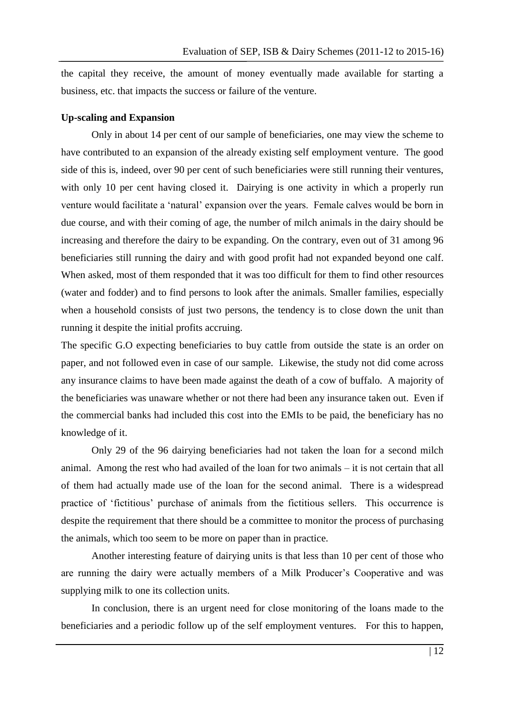the capital they receive, the amount of money eventually made available for starting a business, etc. that impacts the success or failure of the venture.

## **Up-scaling and Expansion**

Only in about 14 per cent of our sample of beneficiaries, one may view the scheme to have contributed to an expansion of the already existing self employment venture. The good side of this is, indeed, over 90 per cent of such beneficiaries were still running their ventures, with only 10 per cent having closed it. Dairying is one activity in which a properly run venture would facilitate a "natural" expansion over the years. Female calves would be born in due course, and with their coming of age, the number of milch animals in the dairy should be increasing and therefore the dairy to be expanding. On the contrary, even out of 31 among 96 beneficiaries still running the dairy and with good profit had not expanded beyond one calf. When asked, most of them responded that it was too difficult for them to find other resources (water and fodder) and to find persons to look after the animals. Smaller families, especially when a household consists of just two persons, the tendency is to close down the unit than running it despite the initial profits accruing.

The specific G.O expecting beneficiaries to buy cattle from outside the state is an order on paper, and not followed even in case of our sample. Likewise, the study not did come across any insurance claims to have been made against the death of a cow of buffalo. A majority of the beneficiaries was unaware whether or not there had been any insurance taken out. Even if the commercial banks had included this cost into the EMIs to be paid, the beneficiary has no knowledge of it.

Only 29 of the 96 dairying beneficiaries had not taken the loan for a second milch animal. Among the rest who had availed of the loan for two animals – it is not certain that all of them had actually made use of the loan for the second animal. There is a widespread practice of "fictitious" purchase of animals from the fictitious sellers. This occurrence is despite the requirement that there should be a committee to monitor the process of purchasing the animals, which too seem to be more on paper than in practice.

Another interesting feature of dairying units is that less than 10 per cent of those who are running the dairy were actually members of a Milk Producer's Cooperative and was supplying milk to one its collection units.

In conclusion, there is an urgent need for close monitoring of the loans made to the beneficiaries and a periodic follow up of the self employment ventures. For this to happen,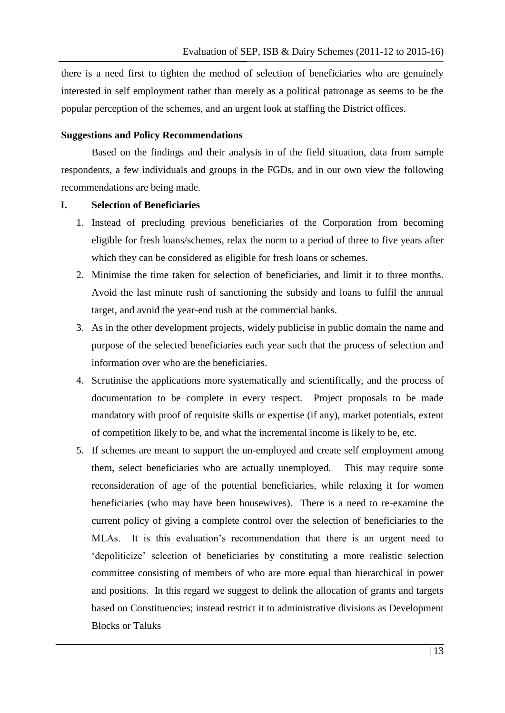there is a need first to tighten the method of selection of beneficiaries who are genuinely interested in self employment rather than merely as a political patronage as seems to be the popular perception of the schemes, and an urgent look at staffing the District offices.

## **Suggestions and Policy Recommendations**

Based on the findings and their analysis in of the field situation, data from sample respondents, a few individuals and groups in the FGDs, and in our own view the following recommendations are being made.

## **I. Selection of Beneficiaries**

- 1. Instead of precluding previous beneficiaries of the Corporation from becoming eligible for fresh loans/schemes, relax the norm to a period of three to five years after which they can be considered as eligible for fresh loans or schemes.
- 2. Minimise the time taken for selection of beneficiaries, and limit it to three months. Avoid the last minute rush of sanctioning the subsidy and loans to fulfil the annual target, and avoid the year-end rush at the commercial banks.
- 3. As in the other development projects, widely publicise in public domain the name and purpose of the selected beneficiaries each year such that the process of selection and information over who are the beneficiaries.
- 4. Scrutinise the applications more systematically and scientifically, and the process of documentation to be complete in every respect. Project proposals to be made mandatory with proof of requisite skills or expertise (if any), market potentials, extent of competition likely to be, and what the incremental income is likely to be, etc.
- 5. If schemes are meant to support the un-employed and create self employment among them, select beneficiaries who are actually unemployed. This may require some reconsideration of age of the potential beneficiaries, while relaxing it for women beneficiaries (who may have been housewives). There is a need to re-examine the current policy of giving a complete control over the selection of beneficiaries to the MLAs. It is this evaluation"s recommendation that there is an urgent need to "depoliticize" selection of beneficiaries by constituting a more realistic selection committee consisting of members of who are more equal than hierarchical in power and positions. In this regard we suggest to delink the allocation of grants and targets based on Constituencies; instead restrict it to administrative divisions as Development Blocks or Taluks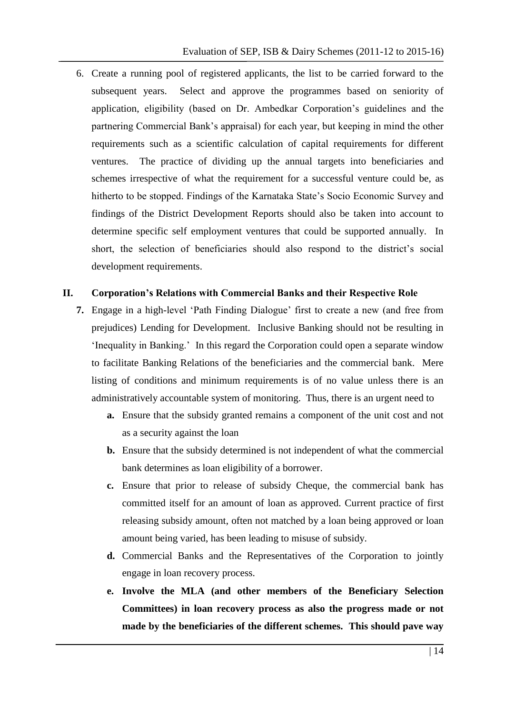6. Create a running pool of registered applicants, the list to be carried forward to the subsequent years. Select and approve the programmes based on seniority of application, eligibility (based on Dr. Ambedkar Corporation"s guidelines and the partnering Commercial Bank"s appraisal) for each year, but keeping in mind the other requirements such as a scientific calculation of capital requirements for different ventures. The practice of dividing up the annual targets into beneficiaries and schemes irrespective of what the requirement for a successful venture could be, as hitherto to be stopped. Findings of the Karnataka State"s Socio Economic Survey and findings of the District Development Reports should also be taken into account to determine specific self employment ventures that could be supported annually. In short, the selection of beneficiaries should also respond to the district's social development requirements.

## **II. Corporation's Relations with Commercial Banks and their Respective Role**

- **7.** Engage in a high-level 'Path Finding Dialogue' first to create a new (and free from prejudices) Lending for Development. Inclusive Banking should not be resulting in 'Inequality in Banking.' In this regard the Corporation could open a separate window to facilitate Banking Relations of the beneficiaries and the commercial bank. Mere listing of conditions and minimum requirements is of no value unless there is an administratively accountable system of monitoring. Thus, there is an urgent need to
	- **a.** Ensure that the subsidy granted remains a component of the unit cost and not as a security against the loan
	- **b.** Ensure that the subsidy determined is not independent of what the commercial bank determines as loan eligibility of a borrower.
	- **c.** Ensure that prior to release of subsidy Cheque, the commercial bank has committed itself for an amount of loan as approved. Current practice of first releasing subsidy amount, often not matched by a loan being approved or loan amount being varied, has been leading to misuse of subsidy.
	- **d.** Commercial Banks and the Representatives of the Corporation to jointly engage in loan recovery process.
	- **e. Involve the MLA (and other members of the Beneficiary Selection Committees) in loan recovery process as also the progress made or not made by the beneficiaries of the different schemes. This should pave way**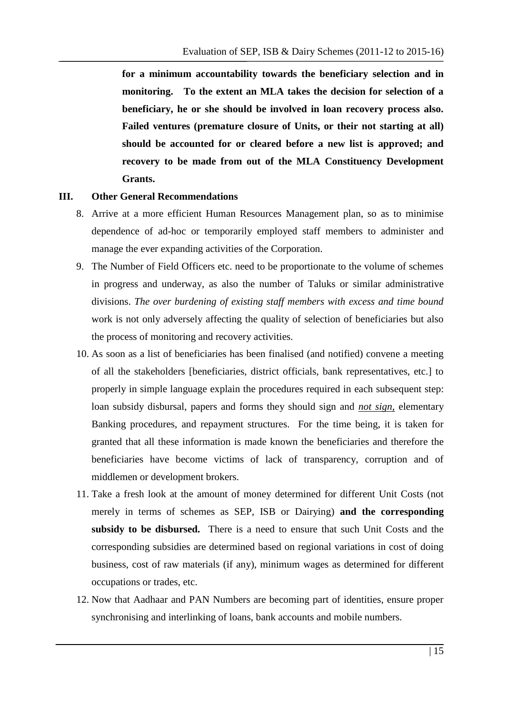**for a minimum accountability towards the beneficiary selection and in monitoring. To the extent an MLA takes the decision for selection of a beneficiary, he or she should be involved in loan recovery process also. Failed ventures (premature closure of Units, or their not starting at all) should be accounted for or cleared before a new list is approved; and recovery to be made from out of the MLA Constituency Development Grants.**

### **III. Other General Recommendations**

- 8. Arrive at a more efficient Human Resources Management plan, so as to minimise dependence of ad-hoc or temporarily employed staff members to administer and manage the ever expanding activities of the Corporation.
- 9. The Number of Field Officers etc. need to be proportionate to the volume of schemes in progress and underway, as also the number of Taluks or similar administrative divisions. *The over burdening of existing staff members with excess and time bound*  work is not only adversely affecting the quality of selection of beneficiaries but also the process of monitoring and recovery activities.
- 10. As soon as a list of beneficiaries has been finalised (and notified) convene a meeting of all the stakeholders [beneficiaries, district officials, bank representatives, etc.] to properly in simple language explain the procedures required in each subsequent step: loan subsidy disbursal, papers and forms they should sign and *not sign,* elementary Banking procedures, and repayment structures. For the time being, it is taken for granted that all these information is made known the beneficiaries and therefore the beneficiaries have become victims of lack of transparency, corruption and of middlemen or development brokers.
- 11. Take a fresh look at the amount of money determined for different Unit Costs (not merely in terms of schemes as SEP, ISB or Dairying) **and the corresponding subsidy to be disbursed.** There is a need to ensure that such Unit Costs and the corresponding subsidies are determined based on regional variations in cost of doing business, cost of raw materials (if any), minimum wages as determined for different occupations or trades, etc.
- 12. Now that Aadhaar and PAN Numbers are becoming part of identities, ensure proper synchronising and interlinking of loans, bank accounts and mobile numbers.